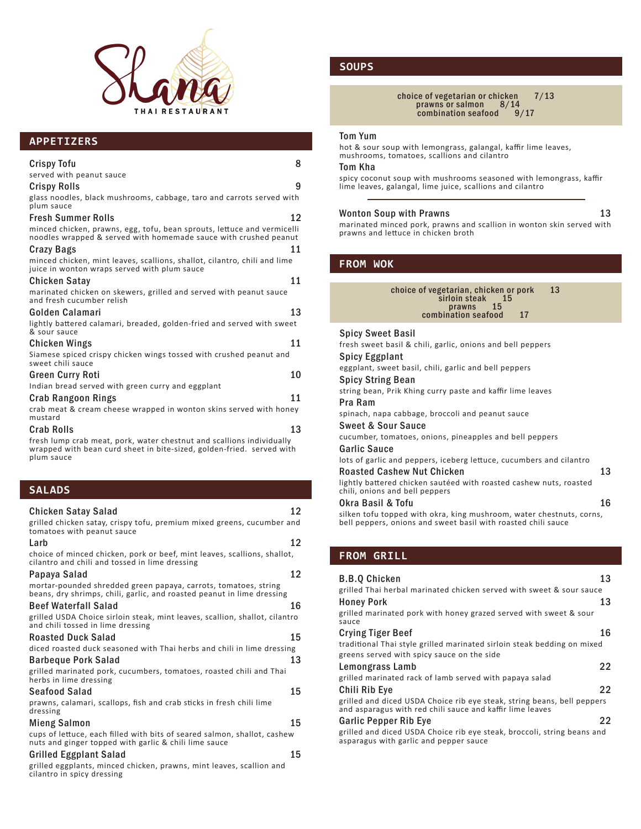

# **APPETIZERS**

| <b>Crispy Tofu</b>                                                                                                                          | 8  |
|---------------------------------------------------------------------------------------------------------------------------------------------|----|
| served with peanut sauce                                                                                                                    |    |
| <b>Crispy Rolls</b>                                                                                                                         | 9  |
| glass noodles, black mushrooms, cabbage, taro and carrots served with<br>plum sauce                                                         |    |
| <b>Fresh Summer Rolls</b>                                                                                                                   | 12 |
| minced chicken, prawns, egg, tofu, bean sprouts, lettuce and vermicelli<br>noodles wrapped & served with homemade sauce with crushed peanut |    |
| 11<br><b>Crazy Bags</b>                                                                                                                     |    |
| minced chicken, mint leaves, scallions, shallot, cilantro, chili and lime<br>juice in wonton wraps served with plum sauce                   |    |
| Chicken Satay                                                                                                                               | 11 |
| marinated chicken on skewers, grilled and served with peanut sauce<br>and fresh cucumber relish                                             |    |
| Golden Calamari                                                                                                                             | 13 |
| lightly battered calamari, breaded, golden-fried and served with sweet<br>& sour sauce                                                      |    |
| Chicken Wings                                                                                                                               | 11 |
| Siamese spiced crispy chicken wings tossed with crushed peanut and<br>sweet chili sauce                                                     |    |
| <b>Green Curry Roti</b>                                                                                                                     | 10 |
| Indian bread served with green curry and eggplant                                                                                           |    |
| Crab Rangoon Rings                                                                                                                          | 11 |
| crab meat & cream cheese wrapped in wonton skins served with honey<br>mustard                                                               |    |
| <b>Crab Rolls</b>                                                                                                                           | 13 |
| the contract of the contract of the contract of the contract of the contract of the contract of the contract of                             |    |

fresh lump crab meat, pork, water chestnut and scallions individually wrapped with bean curd sheet in bite-sized, golden-fried. served with plum sauce

# **SALADS**

| Chicken Satay Salad                                                                                                                       | 12 |
|-------------------------------------------------------------------------------------------------------------------------------------------|----|
| grilled chicken satay, crispy tofu, premium mixed greens, cucumber and<br>tomatoes with peanut sauce                                      |    |
| Larb                                                                                                                                      | 12 |
| choice of minced chicken, pork or beef, mint leaves, scallions, shallot,<br>cilantro and chili and tossed in lime dressing                |    |
| Papaya Salad                                                                                                                              | 12 |
| mortar-pounded shredded green papaya, carrots, tomatoes, string<br>beans, dry shrimps, chili, garlic, and roasted peanut in lime dressing |    |
| <b>Beef Waterfall Salad</b>                                                                                                               | 16 |
| grilled USDA Choice sirloin steak, mint leaves, scallion, shallot, cilantro<br>and chili tossed in lime dressing                          |    |
| <b>Roasted Duck Salad</b>                                                                                                                 | 15 |
| diced roasted duck seasoned with Thai herbs and chili in lime dressing                                                                    |    |
| <b>Barbeque Pork Salad</b>                                                                                                                | 13 |
| grilled marinated pork, cucumbers, tomatoes, roasted chili and Thai<br>herbs in lime dressing                                             |    |
| Seafood Salad                                                                                                                             | 15 |
| prawns, calamari, scallops, fish and crab sticks in fresh chili lime<br>dressing                                                          |    |
| Mieng Salmon                                                                                                                              | 15 |
| cups of lettuce, each filled with bits of seared salmon, shallot, cashew<br>nuts and ginger topped with garlic & chili lime sauce         |    |
| <b>Grilled Eggplant Salad</b>                                                                                                             | 15 |
| grilled eggplants, minced chicken, prawns, mint leaves, scallion and<br>cilantro in spicy dressing                                        |    |

# **SOUPS**

choice of vegetarian or chicken 7/13 prawns or salmon 8/14  ${\tt combination~seafood~}$  9/17

### Tom Yum

hot & sour soup with lemongrass, galangal, kaffir lime leaves, mushrooms, tomatoes, scallions and cilantro

## Tom Kha

spicy coconut soup with mushrooms seasoned with lemongrass, kaffir lime leaves, galangal, lime juice, scallions and cilantro

## Wonton Soup with Prawns 13

marinated minced pork, prawns and scallion in wonton skin served with prawns and lettuce in chicken broth

## **FROM WOK**

| 13<br>choice of vegetarian, chicken or pork<br>sirloin steak 15<br>prawns 15<br>combination seafood<br>17<br><b>Spicy Sweet Basil</b><br>fresh sweet basil & chili, garlic, onions and bell peppers<br><b>Spicy Eggplant</b><br>eggplant, sweet basil, chili, garlic and bell peppers<br><b>Spicy String Bean</b><br>string bean, Prik Khing curry paste and kaffir lime leaves<br>Pra Ram<br>spinach, napa cabbage, broccoli and peanut sauce<br><b>Sweet &amp; Sour Sauce</b><br>cucumber, tomatoes, onions, pineapples and bell peppers<br><b>Garlic Sauce</b><br>lots of garlic and peppers, iceberg lettuce, cucumbers and cilantro<br><b>Roasted Cashew Nut Chicken</b><br>lightly battered chicken sautéed with roasted cashew nuts, roasted<br>chili, onions and bell peppers<br>Okra Basil & Tofu<br>silken tofu topped with okra, king mushroom, water chestnuts, corns,<br>bell peppers, onions and sweet basil with roasted chili sauce |          |
|-----------------------------------------------------------------------------------------------------------------------------------------------------------------------------------------------------------------------------------------------------------------------------------------------------------------------------------------------------------------------------------------------------------------------------------------------------------------------------------------------------------------------------------------------------------------------------------------------------------------------------------------------------------------------------------------------------------------------------------------------------------------------------------------------------------------------------------------------------------------------------------------------------------------------------------------------------|----------|
|                                                                                                                                                                                                                                                                                                                                                                                                                                                                                                                                                                                                                                                                                                                                                                                                                                                                                                                                                     |          |
|                                                                                                                                                                                                                                                                                                                                                                                                                                                                                                                                                                                                                                                                                                                                                                                                                                                                                                                                                     | 13<br>16 |
|                                                                                                                                                                                                                                                                                                                                                                                                                                                                                                                                                                                                                                                                                                                                                                                                                                                                                                                                                     |          |

# **FROM GRILL**

| <b>B.B.Q Chicken</b>                                                                                                                 | 13 |
|--------------------------------------------------------------------------------------------------------------------------------------|----|
| grilled Thai herbal marinated chicken served with sweet & sour sauce                                                                 |    |
| Honey Pork                                                                                                                           | 13 |
| grilled marinated pork with honey grazed served with sweet & sour<br>sauce                                                           |    |
| Crying Tiger Beef                                                                                                                    | 16 |
| traditional Thai style grilled marinated sirloin steak bedding on mixed                                                              |    |
| greens served with spicy sauce on the side                                                                                           |    |
| Lemongrass Lamb                                                                                                                      | 22 |
| grilled marinated rack of lamb served with papaya salad                                                                              |    |
| Chili Rib Eye                                                                                                                        | 22 |
| grilled and diced USDA Choice rib eye steak, string beans, bell peppers<br>and asparagus with red chili sauce and kaffir lime leaves |    |
| Garlic Pepper Rib Eye                                                                                                                | 22 |
| grilled and diced USDA Choice rib eye steak, broccoli, string beans and<br>asparagus with garlic and pepper sauce                    |    |